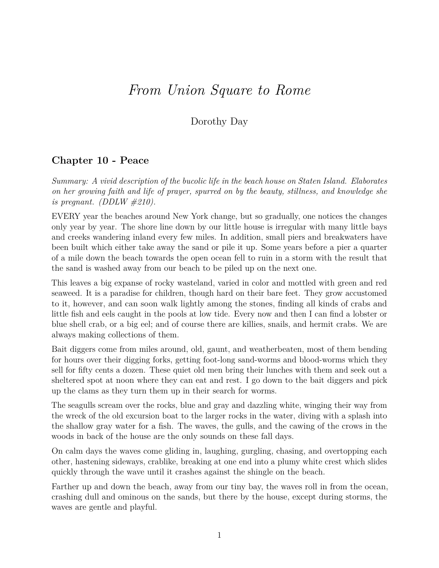# *From Union Square to Rome*

Dorothy Day

## **Chapter 10 - Peace**

*Summary: A vivid description of the bucolic life in the beach house on Staten Island. Elaborates on her growing faith and life of prayer, spurred on by the beauty, stillness, and knowledge she is pregnant. (DDLW #210).*

EVERY year the beaches around New York change, but so gradually, one notices the changes only year by year. The shore line down by our little house is irregular with many little bays and creeks wandering inland every few miles. In addition, small piers and breakwaters have been built which either take away the sand or pile it up. Some years before a pier a quarter of a mile down the beach towards the open ocean fell to ruin in a storm with the result that the sand is washed away from our beach to be piled up on the next one.

This leaves a big expanse of rocky wasteland, varied in color and mottled with green and red seaweed. It is a paradise for children, though hard on their bare feet. They grow accustomed to it, however, and can soon walk lightly among the stones, finding all kinds of crabs and little fish and eels caught in the pools at low tide. Every now and then I can find a lobster or blue shell crab, or a big eel; and of course there are killies, snails, and hermit crabs. We are always making collections of them.

Bait diggers come from miles around, old, gaunt, and weatherbeaten, most of them bending for hours over their digging forks, getting foot-long sand-worms and blood-worms which they sell for fifty cents a dozen. These quiet old men bring their lunches with them and seek out a sheltered spot at noon where they can eat and rest. I go down to the bait diggers and pick up the clams as they turn them up in their search for worms.

The seagulls scream over the rocks, blue and gray and dazzling white, winging their way from the wreck of the old excursion boat to the larger rocks in the water, diving with a splash into the shallow gray water for a fish. The waves, the gulls, and the cawing of the crows in the woods in back of the house are the only sounds on these fall days.

On calm days the waves come gliding in, laughing, gurgling, chasing, and overtopping each other, hastening sideways, crablike, breaking at one end into a plumy white crest which slides quickly through the wave until it crashes against the shingle on the beach.

Farther up and down the beach, away from our tiny bay, the waves roll in from the ocean, crashing dull and ominous on the sands, but there by the house, except during storms, the waves are gentle and playful.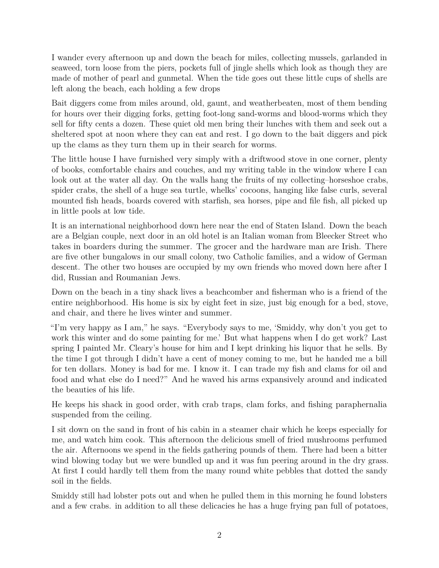I wander every afternoon up and down the beach for miles, collecting mussels, garlanded in seaweed, torn loose from the piers, pockets full of jingle shells which look as though they are made of mother of pearl and gunmetal. When the tide goes out these little cups of shells are left along the beach, each holding a few drops

Bait diggers come from miles around, old, gaunt, and weatherbeaten, most of them bending for hours over their digging forks, getting foot-long sand-worms and blood-worms which they sell for fifty cents a dozen. These quiet old men bring their lunches with them and seek out a sheltered spot at noon where they can eat and rest. I go down to the bait diggers and pick up the clams as they turn them up in their search for worms.

The little house I have furnished very simply with a driftwood stove in one corner, plenty of books, comfortable chairs and couches, and my writing table in the window where I can look out at the water all day. On the walls hang the fruits of my collecting–horseshoe crabs, spider crabs, the shell of a huge sea turtle, whelks' cocoons, hanging like false curls, several mounted fish heads, boards covered with starfish, sea horses, pipe and file fish, all picked up in little pools at low tide.

It is an international neighborhood down here near the end of Staten Island. Down the beach are a Belgian couple, next door in an old hotel is an Italian woman from Bleecker Street who takes in boarders during the summer. The grocer and the hardware man are Irish. There are five other bungalows in our small colony, two Catholic families, and a widow of German descent. The other two houses are occupied by my own friends who moved down here after I did, Russian and Roumanian Jews.

Down on the beach in a tiny shack lives a beachcomber and fisherman who is a friend of the entire neighborhood. His home is six by eight feet in size, just big enough for a bed, stove, and chair, and there he lives winter and summer.

"I'm very happy as I am," he says. "Everybody says to me, 'Smiddy, why don't you get to work this winter and do some painting for me.' But what happens when I do get work? Last spring I painted Mr. Cleary's house for him and I kept drinking his liquor that he sells. By the time I got through I didn't have a cent of money coming to me, but he handed me a bill for ten dollars. Money is bad for me. I know it. I can trade my fish and clams for oil and food and what else do I need?" And he waved his arms expansively around and indicated the beauties of his life.

He keeps his shack in good order, with crab traps, clam forks, and fishing paraphernalia suspended from the ceiling.

I sit down on the sand in front of his cabin in a steamer chair which he keeps especially for me, and watch him cook. This afternoon the delicious smell of fried mushrooms perfumed the air. Afternoons we spend in the fields gathering pounds of them. There had been a bitter wind blowing today but we were bundled up and it was fun peering around in the dry grass. At first I could hardly tell them from the many round white pebbles that dotted the sandy soil in the fields.

Smiddy still had lobster pots out and when he pulled them in this morning he found lobsters and a few crabs. in addition to all these delicacies he has a huge frying pan full of potatoes,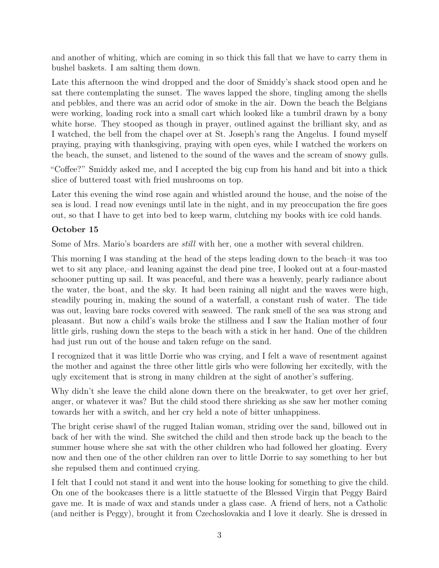and another of whiting, which are coming in so thick this fall that we have to carry them in bushel baskets. I am salting them down.

Late this afternoon the wind dropped and the door of Smiddy's shack stood open and he sat there contemplating the sunset. The waves lapped the shore, tingling among the shells and pebbles, and there was an acrid odor of smoke in the air. Down the beach the Belgians were working, loading rock into a small cart which looked like a tumbril drawn by a bony white horse. They stooped as though in prayer, outlined against the brilliant sky, and as I watched, the bell from the chapel over at St. Joseph's rang the Angelus. I found myself praying, praying with thanksgiving, praying with open eyes, while I watched the workers on the beach, the sunset, and listened to the sound of the waves and the scream of snowy gulls.

"Coffee?" Smiddy asked me, and I accepted the big cup from his hand and bit into a thick slice of buttered toast with fried mushrooms on top.

Later this evening the wind rose again and whistled around the house, and the noise of the sea is loud. I read now evenings until late in the night, and in my preoccupation the fire goes out, so that I have to get into bed to keep warm, clutching my books with ice cold hands.

## **October 15**

Some of Mrs. Mario's boarders are *still* with her, one a mother with several children.

This morning I was standing at the head of the steps leading down to the beach–it was too wet to sit any place,–and leaning against the dead pine tree, I looked out at a four-masted schooner putting up sail. It was peaceful, and there was a heavenly, pearly radiance about the water, the boat, and the sky. It had been raining all night and the waves were high, steadily pouring in, making the sound of a waterfall, a constant rush of water. The tide was out, leaving bare rocks covered with seaweed. The rank smell of the sea was strong and pleasant. But now a child's wails broke the stillness and I saw the Italian mother of four little girls, rushing down the steps to the beach with a stick in her hand. One of the children had just run out of the house and taken refuge on the sand.

I recognized that it was little Dorrie who was crying, and I felt a wave of resentment against the mother and against the three other little girls who were following her excitedly, with the ugly excitement that is strong in many children at the sight of another's suffering.

Why didn't she leave the child alone down there on the breakwater, to get over her grief, anger, or whatever it was? But the child stood there shrieking as she saw her mother coming towards her with a switch, and her cry held a note of bitter unhappiness.

The bright cerise shawl of the rugged Italian woman, striding over the sand, billowed out in back of her with the wind. She switched the child and then strode back up the beach to the summer house where she sat with the other children who had followed her gloating. Every now and then one of the other children ran over to little Dorrie to say something to her but she repulsed them and continued crying.

I felt that I could not stand it and went into the house looking for something to give the child. On one of the bookcases there is a little statuette of the Blessed Virgin that Peggy Baird gave me. It is made of wax and stands under a glass case. A friend of hers, not a Catholic (and neither is Peggy), brought it from Czechoslovakia and I love it dearly. She is dressed in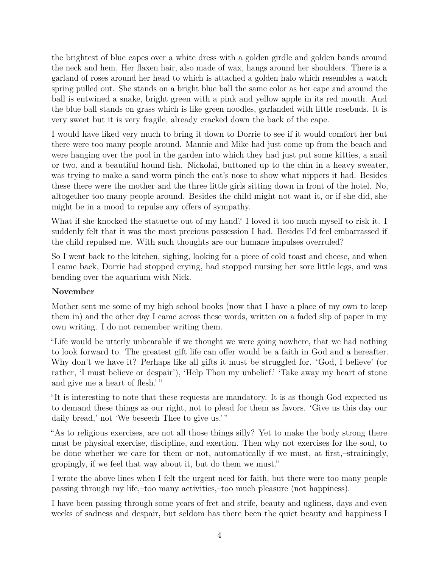the brightest of blue capes over a white dress with a golden girdle and golden bands around the neck and hem. Her flaxen hair, also made of wax, hangs around her shoulders. There is a garland of roses around her head to which is attached a golden halo which resembles a watch spring pulled out. She stands on a bright blue ball the same color as her cape and around the ball is entwined a snake, bright green with a pink and yellow apple in its red mouth. And the blue ball stands on grass which is like green noodles, garlanded with little rosebuds. It is very sweet but it is very fragile, already cracked down the back of the cape.

I would have liked very much to bring it down to Dorrie to see if it would comfort her but there were too many people around. Mannie and Mike had just come up from the beach and were hanging over the pool in the garden into which they had just put some kitties, a snail or two, and a beautiful hound fish. Nickolai, buttoned up to the chin in a heavy sweater, was trying to make a sand worm pinch the cat's nose to show what nippers it had. Besides these there were the mother and the three little girls sitting down in front of the hotel. No, altogether too many people around. Besides the child might not want it, or if she did, she might be in a mood to repulse any offers of sympathy.

What if she knocked the statuette out of my hand? I loved it too much myself to risk it. I suddenly felt that it was the most precious possession I had. Besides I'd feel embarrassed if the child repulsed me. With such thoughts are our humane impulses overruled?

So I went back to the kitchen, sighing, looking for a piece of cold toast and cheese, and when I came back, Dorrie had stopped crying, had stopped nursing her sore little legs, and was bending over the aquarium with Nick.

#### **November**

Mother sent me some of my high school books (now that I have a place of my own to keep them in) and the other day I came across these words, written on a faded slip of paper in my own writing. I do not remember writing them.

"Life would be utterly unbearable if we thought we were going nowhere, that we had nothing to look forward to. The greatest gift life can offer would be a faith in God and a hereafter. Why don't we have it? Perhaps like all gifts it must be struggled for. 'God, I believe' (or rather, 'I must believe or despair'), 'Help Thou my unbelief.' 'Take away my heart of stone and give me a heart of flesh.'"

"It is interesting to note that these requests are mandatory. It is as though God expected us to demand these things as our right, not to plead for them as favors. 'Give us this day our daily bread,' not 'We beseech Thee to give us.'"

"As to religious exercises, are not all those things silly? Yet to make the body strong there must be physical exercise, discipline, and exertion. Then why not exercises for the soul, to be done whether we care for them or not, automatically if we must, at first,–strainingly, gropingly, if we feel that way about it, but do them we must."

I wrote the above lines when I felt the urgent need for faith, but there were too many people passing through my life,–too many activities,–too much pleasure (not happiness).

I have been passing through some years of fret and strife, beauty and ugliness, days and even weeks of sadness and despair, but seldom has there been the quiet beauty and happiness I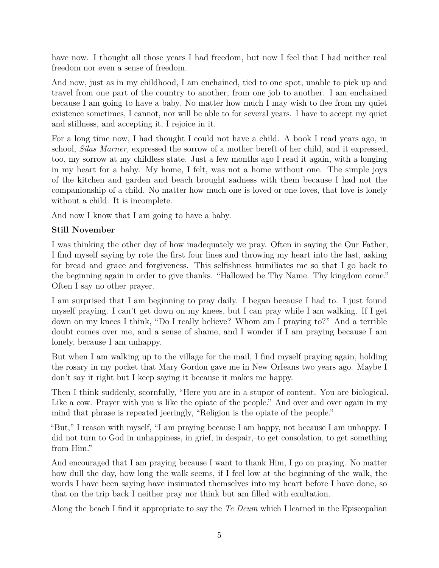have now. I thought all those years I had freedom, but now I feel that I had neither real freedom nor even a sense of freedom.

And now, just as in my childhood, I am enchained, tied to one spot, unable to pick up and travel from one part of the country to another, from one job to another. I am enchained because I am going to have a baby. No matter how much I may wish to flee from my quiet existence sometimes, I cannot, nor will be able to for several years. I have to accept my quiet and stillness, and accepting it, I rejoice in it.

For a long time now, I had thought I could not have a child. A book I read years ago, in school, *Silas Marner,* expressed the sorrow of a mother bereft of her child, and it expressed, too, my sorrow at my childless state. Just a few months ago I read it again, with a longing in my heart for a baby. My home, I felt, was not a home without one. The simple joys of the kitchen and garden and beach brought sadness with them because I had not the companionship of a child. No matter how much one is loved or one loves, that love is lonely without a child. It is incomplete.

And now I know that I am going to have a baby.

## **Still November**

I was thinking the other day of how inadequately we pray. Often in saying the Our Father, I find myself saying by rote the first four lines and throwing my heart into the last, asking for bread and grace and forgiveness. This selfishness humiliates me so that I go back to the beginning again in order to give thanks. "Hallowed be Thy Name. Thy kingdom come." Often I say no other prayer.

I am surprised that I am beginning to pray daily. I began because I had to. I just found myself praying. I can't get down on my knees, but I can pray while I am walking. If I get down on my knees I think, "Do I really believe? Whom am I praying to?" And a terrible doubt comes over me, and a sense of shame, and I wonder if I am praying because I am lonely, because I am unhappy.

But when I am walking up to the village for the mail, I find myself praying again, holding the rosary in my pocket that Mary Gordon gave me in New OrIeans two years ago. Maybe I don't say it right but I keep saying it because it makes me happy.

Then I think suddenly, scornfully, "Here you are in a stupor of content. You are biological. Like a cow. Prayer with you is like the opiate of the people." And over and over again in my mind that phrase is repeated jeeringly, "Religion is the opiate of the people."

"But," I reason with myself, "I am praying because I am happy, not because I am unhappy. I did not turn to God in unhappiness, in grief, in despair,–to get consolation, to get something from Him."

And encouraged that I am praying because I want to thank Him, I go on praying. No matter how dull the day, how long the walk seems, if I feel low at the beginning of the walk, the words I have been saying have insinuated themselves into my heart before I have done, so that on the trip back I neither pray nor think but am filled with exultation.

Along the beach I find it appropriate to say the *Te Deum* which I learned in the Episcopalian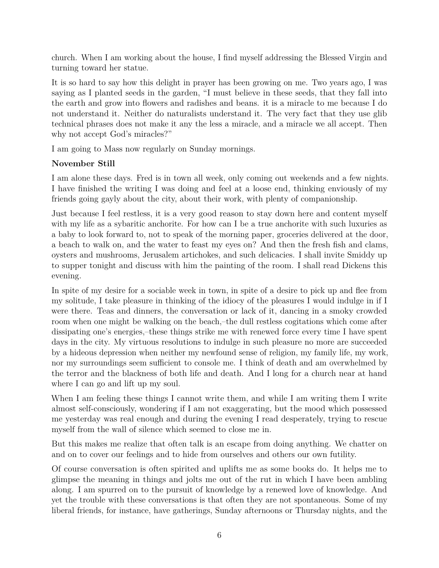church. When I am working about the house, I find myself addressing the Blessed Virgin and turning toward her statue.

It is so hard to say how this delight in prayer has been growing on me. Two years ago, I was saying as I planted seeds in the garden, "I must believe in these seeds, that they fall into the earth and grow into flowers and radishes and beans. it is a miracle to me because I do not understand it. Neither do naturalists understand it. The very fact that they use glib technical phrases does not make it any the less a miracle, and a miracle we all accept. Then why not accept God's miracles?"

I am going to Mass now regularly on Sunday mornings.

#### **November Still**

I am alone these days. Fred is in town all week, only coming out weekends and a few nights. I have finished the writing I was doing and feel at a loose end, thinking enviously of my friends going gayly about the city, about their work, with plenty of companionship.

Just because I feel restless, it is a very good reason to stay down here and content myself with my life as a sybaritic anchorite. For how can I be a true anchorite with such luxuries as a baby to look forward to, not to speak of the morning paper, groceries delivered at the door, a beach to walk on, and the water to feast my eyes on? And then the fresh fish and clams, oysters and mushrooms, Jerusalem artichokes, and such delicacies. I shall invite Smiddy up to supper tonight and discuss with him the painting of the room. I shall read Dickens this evening.

In spite of my desire for a sociable week in town, in spite of a desire to pick up and flee from my solitude, I take pleasure in thinking of the idiocy of the pleasures I would indulge in if I were there. Teas and dinners, the conversation or lack of it, dancing in a smoky crowded room when one might be walking on the beach,–the dull restless cogitations which come after dissipating one's energies,–these things strike me with renewed force every time I have spent days in the city. My virtuous resolutions to indulge in such pleasure no more are succeeded by a hideous depression when neither my newfound sense of religion, my family life, my work, nor my surroundings seem sufficient to console me. I think of death and am overwhelmed by the terror and the blackness of both life and death. And I long for a church near at hand where I can go and lift up my soul.

When I am feeling these things I cannot write them, and while I am writing them I write almost self-consciously, wondering if I am not exaggerating, but the mood which possessed me yesterday was real enough and during the evening I read desperately, trying to rescue myself from the wall of silence which seemed to close me in.

But this makes me realize that often talk is an escape from doing anything. We chatter on and on to cover our feelings and to hide from ourselves and others our own futility.

Of course conversation is often spirited and uplifts me as some books do. It helps me to glimpse the meaning in things and jolts me out of the rut in which I have been ambling along. I am spurred on to the pursuit of knowledge by a renewed love of knowledge. And yet the trouble with these conversations is that often they are not spontaneous. Some of my liberal friends, for instance, have gatherings, Sunday afternoons or Thursday nights, and the